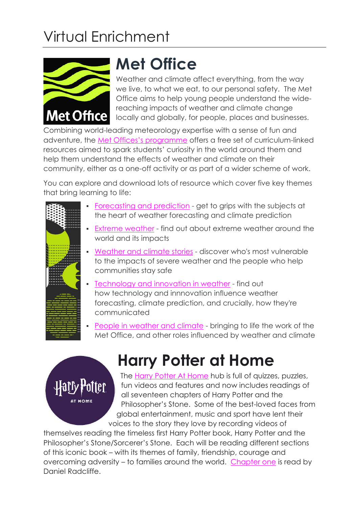# Virtual Enrichment



**AT HOME** 

#### **Met Office**

Weather and climate affect everything, from the way we live, to what we eat, to our personal safety. The Met Office aims to help young people understand the widereaching impacts of weather and climate change locally and globally, for people, places and businesses.

Combining world-leading meteorology expertise with a sense of fun and adventure, the [Met Offices's programme](https://www.metoffice.gov.uk/weather/learn-about/met-office-for-schools/resources-for-11-14) offers a free set of curriculum-linked resources aimed to spark students' curiosity in the world around them and help them understand the effects of weather and climate on their community, either as a one-off activity or as part of a wider scheme of work.

You can explore and download lots of resource which cover five key themes that bring learning to life:

| • Forecasting and prediction - get to grips with the subjects at<br>the heart of weather forecasting and climate prediction                                                          |
|--------------------------------------------------------------------------------------------------------------------------------------------------------------------------------------|
| Extreme weather - find out about extreme weather around the<br>٠<br>world and its impacts                                                                                            |
| Weather and climate stories - discover who's most vulnerable<br>to the impacts of severe weather and the people who help<br>communities stay safe                                    |
| • Technology and innovation in weather - find out<br>how technology and innnovation influence weather<br>forecasting, climate prediction, and crucially, how they're<br>communicated |
| People in weather and climate - bringing to life the work of the<br>٠<br>Met Office, and other roles influenced by weather and climate                                               |

## **Harry Potter at Home**

The [Harry Potter At Home](https://www.wizardingworld.com/collections/harry-potter-at-home) hub is full of quizzes, puzzles, fun videos and features and now includes readings of all seventeen chapters of Harry Potter and the Philosopher's Stone. Some of the best-loved faces from global entertainment, music and sport have lent their [vo](https://www.wizardingworld.com/collections/harry-potter-at-home)ices to the story they love by recording videos of

themselves reading the timeless first Harry Potter book, Harry Potter and the Philosopher's Stone/Sorcerer's Stone. Each will be reading different sections of this iconic book – with its themes of family, friendship, courage and overcoming adversity – to families around the world. [Chapter one](https://www.wizardingworld.com/chapters/reading-the-boy-who-lived) is read by Daniel Radcliffe.